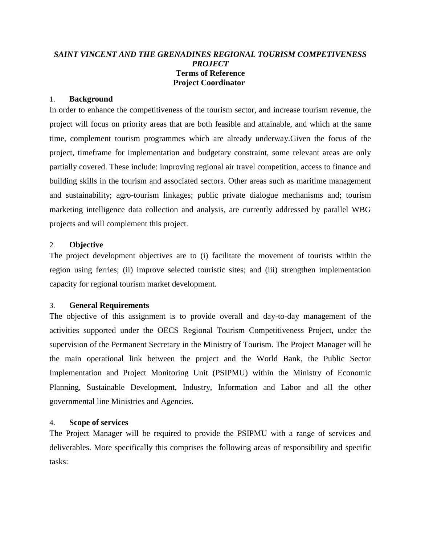# *SAINT VINCENT AND THE GRENADINES REGIONAL TOURISM COMPETIVENESS PROJECT* **Terms of Reference Project Coordinator**

#### 1. **Background**

In order to enhance the competitiveness of the tourism sector, and increase tourism revenue, the project will focus on priority areas that are both feasible and attainable, and which at the same time, complement tourism programmes which are already underway.Given the focus of the project, timeframe for implementation and budgetary constraint, some relevant areas are only partially covered. These include: improving regional air travel competition, access to finance and building skills in the tourism and associated sectors. Other areas such as maritime management and sustainability; agro-tourism linkages; public private dialogue mechanisms and; tourism marketing intelligence data collection and analysis, are currently addressed by parallel WBG projects and will complement this project.

#### 2. **Objective**

The project development objectives are to (i) facilitate the movement of tourists within the region using ferries; (ii) improve selected touristic sites; and (iii) strengthen implementation capacity for regional tourism market development.

## 3. **General Requirements**

The objective of this assignment is to provide overall and day-to-day management of the activities supported under the OECS Regional Tourism Competitiveness Project, under the supervision of the Permanent Secretary in the Ministry of Tourism. The Project Manager will be the main operational link between the project and the World Bank, the Public Sector Implementation and Project Monitoring Unit (PSIPMU) within the Ministry of Economic Planning, Sustainable Development, Industry, Information and Labor and all the other governmental line Ministries and Agencies.

## 4. **Scope of services**

The Project Manager will be required to provide the PSIPMU with a range of services and deliverables. More specifically this comprises the following areas of responsibility and specific tasks: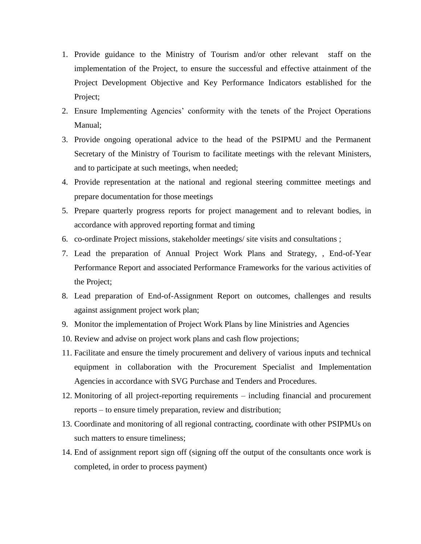- 1. Provide guidance to the Ministry of Tourism and/or other relevant staff on the implementation of the Project, to ensure the successful and effective attainment of the Project Development Objective and Key Performance Indicators established for the Project;
- 2. Ensure Implementing Agencies' conformity with the tenets of the Project Operations Manual;
- 3. Provide ongoing operational advice to the head of the PSIPMU and the Permanent Secretary of the Ministry of Tourism to facilitate meetings with the relevant Ministers, and to participate at such meetings, when needed;
- 4. Provide representation at the national and regional steering committee meetings and prepare documentation for those meetings
- 5. Prepare quarterly progress reports for project management and to relevant bodies, in accordance with approved reporting format and timing
- 6. co-ordinate Project missions, stakeholder meetings/ site visits and consultations ;
- 7. Lead the preparation of Annual Project Work Plans and Strategy, , End-of-Year Performance Report and associated Performance Frameworks for the various activities of the Project;
- 8. Lead preparation of End-of-Assignment Report on outcomes, challenges and results against assignment project work plan;
- 9. Monitor the implementation of Project Work Plans by line Ministries and Agencies
- 10. Review and advise on project work plans and cash flow projections;
- 11. Facilitate and ensure the timely procurement and delivery of various inputs and technical equipment in collaboration with the Procurement Specialist and Implementation Agencies in accordance with SVG Purchase and Tenders and Procedures.
- 12. Monitoring of all project-reporting requirements including financial and procurement reports – to ensure timely preparation, review and distribution;
- 13. Coordinate and monitoring of all regional contracting, coordinate with other PSIPMUs on such matters to ensure timeliness;
- 14. End of assignment report sign off (signing off the output of the consultants once work is completed, in order to process payment)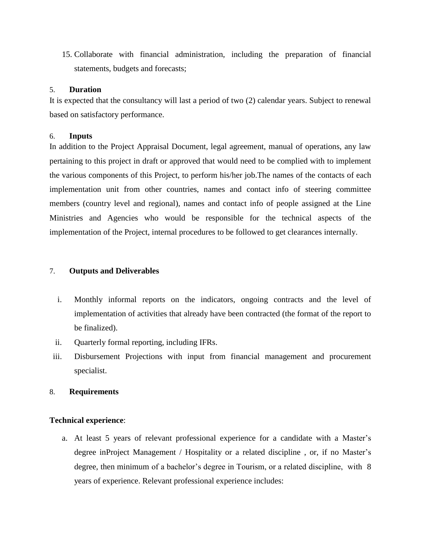15. Collaborate with financial administration, including the preparation of financial statements, budgets and forecasts;

#### 5. **Duration**

It is expected that the consultancy will last a period of two (2) calendar years. Subject to renewal based on satisfactory performance.

#### 6. **Inputs**

In addition to the Project Appraisal Document, legal agreement, manual of operations, any law pertaining to this project in draft or approved that would need to be complied with to implement the various components of this Project, to perform his/her job.The names of the contacts of each implementation unit from other countries, names and contact info of steering committee members (country level and regional), names and contact info of people assigned at the Line Ministries and Agencies who would be responsible for the technical aspects of the implementation of the Project, internal procedures to be followed to get clearances internally.

### 7. **Outputs and Deliverables**

- i. Monthly informal reports on the indicators, ongoing contracts and the level of implementation of activities that already have been contracted (the format of the report to be finalized).
- ii. Quarterly formal reporting, including IFRs.
- iii. Disbursement Projections with input from financial management and procurement specialist.

## 8. **Requirements**

## **Technical experience**:

a. At least 5 years of relevant professional experience for a candidate with a Master's degree inProject Management / Hospitality or a related discipline , or, if no Master's degree, then minimum of a bachelor's degree in Tourism, or a related discipline, with 8 years of experience. Relevant professional experience includes: